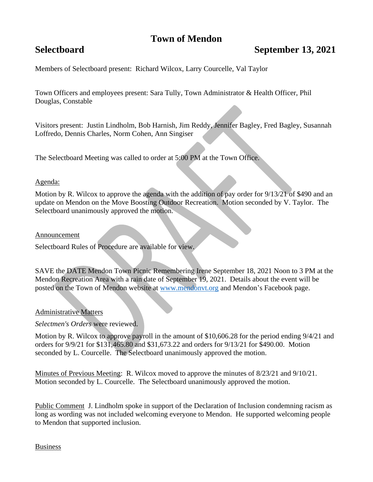# **Town of Mendon**

## **Selectboard September 13, 2021**

Members of Selectboard present: Richard Wilcox, Larry Courcelle, Val Taylor

Town Officers and employees present: Sara Tully, Town Administrator & Health Officer, Phil Douglas, Constable

Visitors present: Justin Lindholm, Bob Harnish, Jim Reddy, Jennifer Bagley, Fred Bagley, Susannah Loffredo, Dennis Charles, Norm Cohen, Ann Singiser

The Selectboard Meeting was called to order at 5:00 PM at the Town Office.

### Agenda:

Motion by R. Wilcox to approve the agenda with the addition of pay order for 9/13/21 of \$490 and an update on Mendon on the Move Boosting Outdoor Recreation. Motion seconded by V. Taylor. The Selectboard unanimously approved the motion.

#### Announcement

Selectboard Rules of Procedure are available for view.

SAVE the DATE Mendon Town Picnic Remembering Irene September 18, 2021 Noon to 3 PM at the Mendon Recreation Area with a rain date of September 19, 2021. Details about the event will be posted on the Town of Mendon website at [www.mendonvt.org](http://www.mendonvt.org/) and Mendon's Facebook page.

## Administrative Matters

*Selectmen's Orders* were reviewed.

Motion by R. Wilcox to approve payroll in the amount of \$10,606.28 for the period ending 9/4/21 and orders for 9/9/21 for \$131,465.80 and \$31,673.22 and orders for 9/13/21 for \$490.00. Motion seconded by L. Courcelle. The Selectboard unanimously approved the motion.

Minutes of Previous Meeting: R. Wilcox moved to approve the minutes of 8/23/21 and 9/10/21. Motion seconded by L. Courcelle. The Selectboard unanimously approved the motion.

Public Comment J. Lindholm spoke in support of the Declaration of Inclusion condemning racism as long as wording was not included welcoming everyone to Mendon. He supported welcoming people to Mendon that supported inclusion.

Business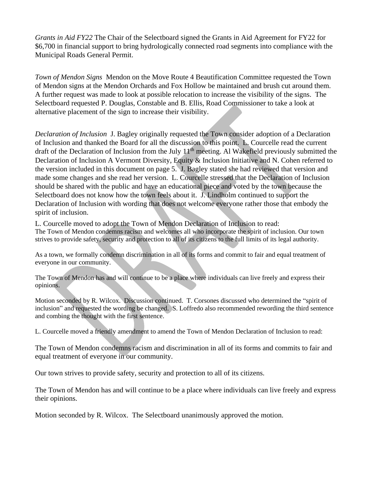*Grants in Aid FY22* The Chair of the Selectboard signed the Grants in Aid Agreement for FY22 for \$6,700 in financial support to bring hydrologically connected road segments into compliance with the Municipal Roads General Permit.

*Town of Mendon Signs* Mendon on the Move Route 4 Beautification Committee requested the Town of Mendon signs at the Mendon Orchards and Fox Hollow be maintained and brush cut around them. A further request was made to look at possible relocation to increase the visibility of the signs. The Selectboard requested P. Douglas, Constable and B. Ellis, Road Commissioner to take a look at alternative placement of the sign to increase their visibility.

*Declaration of Inclusion* J. Bagley originally requested the Town consider adoption of a Declaration of Inclusion and thanked the Board for all the discussion to this point. L. Courcelle read the current draft of the Declaration of Inclusion from the July  $11<sup>th</sup>$  meeting. Al Wakefield previously submitted the Declaration of Inclusion A Vermont Diversity, Equity & Inclusion Initiative and N. Cohen referred to the version included in this document on page 5. J. Bagley stated she had reviewed that version and made some changes and she read her version. L. Courcelle stressed that the Declaration of Inclusion should be shared with the public and have an educational piece and voted by the town because the Selectboard does not know how the town feels about it. J. Lindholm continued to support the Declaration of Inclusion with wording that does not welcome everyone rather those that embody the spirit of inclusion.

L. Courcelle moved to adopt the Town of Mendon Declaration of Inclusion to read: The Town of Mendon condemns racism and welcomes all who incorporate the spirit of inclusion. Our town strives to provide safety, security and protection to all of its citizens to the full limits of its legal authority.

As a town, we formally condemn discrimination in all of its forms and commit to fair and equal treatment of everyone in our community.

The Town of Mendon has and will continue to be a place where individuals can live freely and express their opinions.

Motion seconded by R. Wilcox. Discussion continued. T. Corsones discussed who determined the "spirit of inclusion" and requested the wording be changed. S. Loffredo also recommended rewording the third sentence and combing the thought with the first sentence.

L. Courcelle moved a friendly amendment to amend the Town of Mendon Declaration of Inclusion to read:

The Town of Mendon condemns racism and discrimination in all of its forms and commits to fair and equal treatment of everyone in our community.

Our town strives to provide safety, security and protection to all of its citizens.

The Town of Mendon has and will continue to be a place where individuals can live freely and express their opinions.

Motion seconded by R. Wilcox. The Selectboard unanimously approved the motion.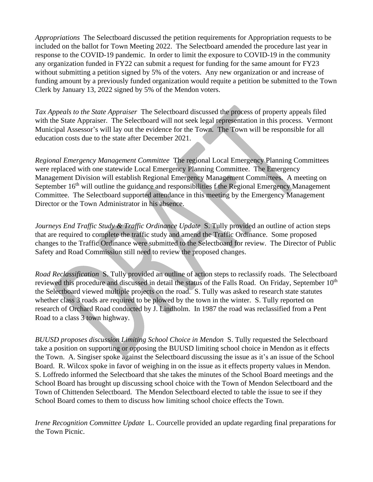*Appropriations* The Selectboard discussed the petition requirements for Appropriation requests to be included on the ballot for Town Meeting 2022. The Selectboard amended the procedure last year in response to the COVID-19 pandemic. In order to limit the exposure to COVID-19 in the community any organization funded in FY22 can submit a request for funding for the same amount for FY23 without submitting a petition signed by 5% of the voters. Any new organization or and increase of funding amount by a previously funded organization would requite a petition be submitted to the Town Clerk by January 13, 2022 signed by 5% of the Mendon voters.

*Tax Appeals to the State Appraiser* The Selectboard discussed the process of property appeals filed with the State Appraiser. The Selectboard will not seek legal representation in this process. Vermont Municipal Assessor's will lay out the evidence for the Town. The Town will be responsible for all education costs due to the state after December 2021.

*Regional Emergency Management Committee* The regional Local Emergency Planning Committees were replaced with one statewide Local Emergency Planning Committee. The Emergency Management Division will establish Regional Emergency Management Committees. A meeting on September  $16<sup>th</sup>$  will outline the guidance and responsibilities f the Regional Emergency Management Committee. The Selectboard supported attendance in this meeting by the Emergency Management Director or the Town Administrator in his absence.

*Journeys End Traffic Study & Traffic Ordinance Update* S. Tully provided an outline of action steps that are required to complete the traffic study and amend the Traffic Ordinance. Some proposed changes to the Traffic Ordinance were submitted to the Selectboard for review. The Director of Public Safety and Road Commission still need to review the proposed changes.

*Road Reclassification* S. Tully provided an outline of action steps to reclassify roads. The Selectboard reviewed this procedure and discussed in detail the status of the Falls Road. On Friday, September 10<sup>th</sup> the Selectboard viewed multiple projects on the road. S. Tully was asked to research state statutes whether class 3 roads are required to be plowed by the town in the winter. S. Tully reported on research of Orchard Road conducted by J. Lindholm. In 1987 the road was reclassified from a Pent Road to a class 3 town highway.

*BUUSD proposes discussion Limiting School Choice in Mendon* S. Tully requested the Selectboard take a position on supporting or opposing the BUUSD limiting school choice in Mendon as it effects the Town. A. Singiser spoke against the Selectboard discussing the issue as it's an issue of the School Board. R. Wilcox spoke in favor of weighing in on the issue as it effects property values in Mendon. S. Loffredo informed the Selectboard that she takes the minutes of the School Board meetings and the School Board has brought up discussing school choice with the Town of Mendon Selectboard and the Town of Chittenden Selectboard. The Mendon Selectboard elected to table the issue to see if they School Board comes to them to discuss how limiting school choice effects the Town.

*Irene Recognition Committee Update* L. Courcelle provided an update regarding final preparations for the Town Picnic.